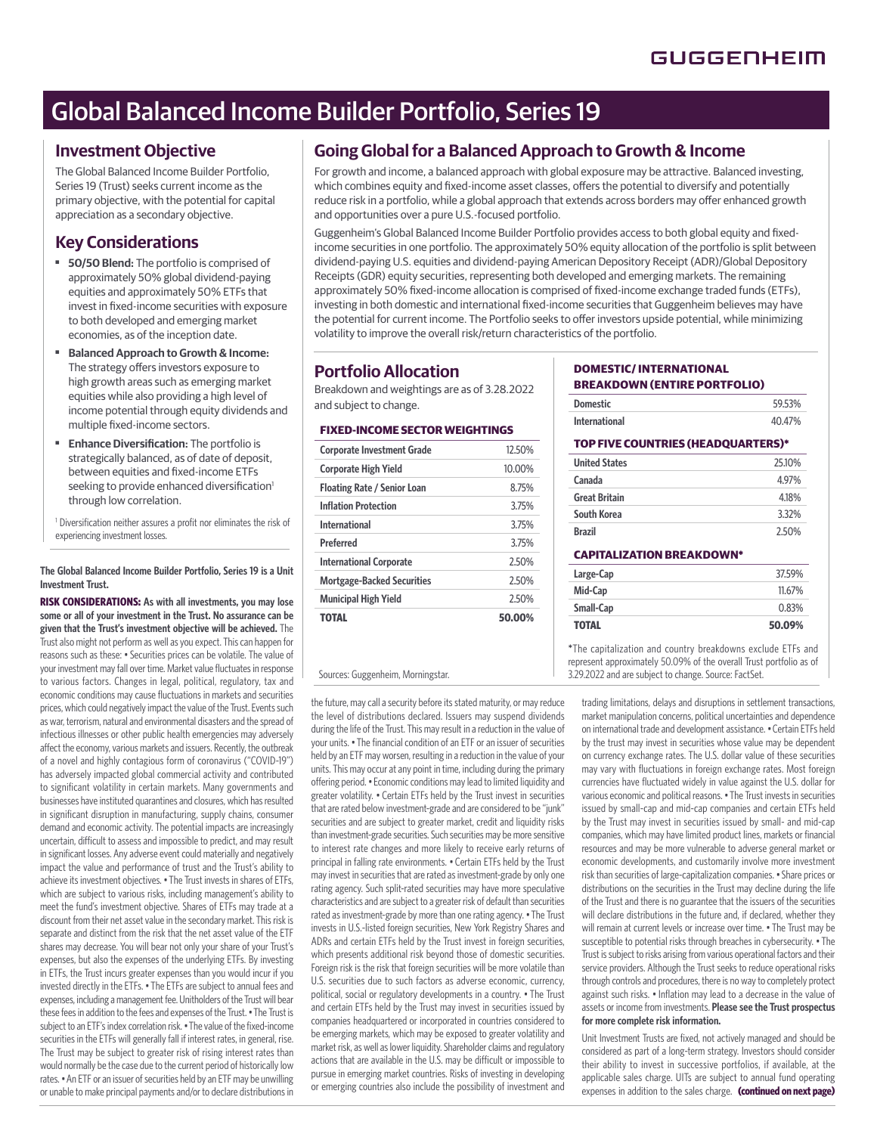# Global Balanced Income Builder Portfolio, Series 19

### **Investment Objective**

The Global Balanced Income Builder Portfolio, Series 19 (Trust) seeks current income as the primary objective, with the potential for capital appreciation as a secondary objective.

# **Key Considerations**

- **50/50 Blend:** The portfolio is comprised of approximately 50% global dividend-paying equities and approximately 50% ETFs that invest in fixed-income securities with exposure to both developed and emerging market economies, as of the inception date.
- **Balanced Approach to Growth & Income:**  The strategy offers investors exposure to high growth areas such as emerging market equities while also providing a high level of income potential through equity dividends and multiple fixed-income sectors.
- **Enhance Diversification:** The portfolio is strategically balanced, as of date of deposit, between equities and fixed-income ETFs seeking to provide enhanced diversification<sup>1</sup> through low correlation.

<sup>1</sup> Diversification neither assures a profit nor eliminates the risk of experiencing investment losses.

#### **The Global Balanced Income Builder Portfolio, Series 19 is a Unit Investment Trust.**

**RISK CONSIDERATIONS: As with all investments, you may lose some or all of your investment in the Trust. No assurance can be given that the Trust's investment objective will be achieved.** The Trust also might not perform as well as you expect. This can happen for reasons such as these: • Securities prices can be volatile. The value of your investment may fall over time. Market value fluctuates in response to various factors. Changes in legal, political, regulatory, tax and economic conditions may cause fluctuations in markets and securities prices, which could negatively impact the value of the Trust. Events such as war, terrorism, natural and environmental disasters and the spread of infectious illnesses or other public health emergencies may adversely affect the economy, various markets and issuers. Recently, the outbreak of a novel and highly contagious form of coronavirus ("COVID-19") has adversely impacted global commercial activity and contributed to significant volatility in certain markets. Many governments and businesses have instituted quarantines and closures, which has resulted in significant disruption in manufacturing, supply chains, consumer demand and economic activity. The potential impacts are increasingly uncertain, difficult to assess and impossible to predict, and may result in significant losses. Any adverse event could materially and negatively impact the value and performance of trust and the Trust's ability to achieve its investment objectives. • The Trust invests in shares of ETFs, which are subject to various risks, including management's ability to meet the fund's investment objective. Shares of ETFs may trade at a discount from their net asset value in the secondary market. This risk is separate and distinct from the risk that the net asset value of the ETF shares may decrease. You will bear not only your share of your Trust's expenses, but also the expenses of the underlying ETFs. By investing in ETFs, the Trust incurs greater expenses than you would incur if you invested directly in the ETFs. • The ETFs are subject to annual fees and expenses, including a management fee. Unitholders of the Trust will bear these fees in addition to the fees and expenses of the Trust. • The Trust is subject to an ETF's index correlation risk. • The value of the fixed-income securities in the ETFs will generally fall if interest rates, in general, rise. The Trust may be subject to greater risk of rising interest rates than would normally be the case due to the current period of historically low rates. • An ETF or an issuer of securities held by an ETF may be unwilling or unable to make principal payments and/or to declare distributions in

# **Going Global for a Balanced Approach to Growth & Income**

For growth and income, a balanced approach with global exposure may be attractive. Balanced investing, which combines equity and fixed-income asset classes, offers the potential to diversify and potentially reduce risk in a portfolio, while a global approach that extends across borders may offer enhanced growth and opportunities over a pure U.S.-focused portfolio.

Guggenheim's Global Balanced Income Builder Portfolio provides access to both global equity and fixedincome securities in one portfolio. The approximately 50% equity allocation of the portfolio is split between dividend-paying U.S. equities and dividend-paying American Depository Receipt (ADR)/Global Depository Receipts (GDR) equity securities, representing both developed and emerging markets. The remaining approximately 50% fixed-income allocation is comprised of fixed-income exchange traded funds (ETFs), investing in both domestic and international fixed-income securities that Guggenheim believes may have the potential for current income. The Portfolio seeks to offer investors upside potential, while minimizing volatility to improve the overall risk/return characteristics of the portfolio.

# **Portfolio Allocation**

Breakdown and weightings are as of 3.28.2022 and subject to change.

#### **FIXED-INCOME SECTOR WEIGHTINGS**

| <b>Corporate Investment Grade</b>  | 12.50% |
|------------------------------------|--------|
| <b>Corporate High Yield</b>        | 10.00% |
| <b>Floating Rate / Senior Loan</b> | 8.75%  |
| <b>Inflation Protection</b>        | 3.75%  |
| <b>International</b>               | 3.75%  |
| Preferred                          | 3.75%  |
| <b>International Corporate</b>     | 2.50%  |
| <b>Mortgage-Backed Securities</b>  | 2.50%  |
| <b>Municipal High Yield</b>        | 2.50%  |
| TOTAL                              | 50.00% |

the future, may call a security before its stated maturity, or may reduce the level of distributions declared. Issuers may suspend dividends during the life of the Trust. This may result in a reduction in the value of your units. • The financial condition of an ETF or an issuer of securities held by an ETF may worsen, resulting in a reduction in the value of your units. This may occur at any point in time, including during the primary offering period. • Economic conditions may lead to limited liquidity and greater volatility. • Certain ETFs held by the Trust invest in securities that are rated below investment-grade and are considered to be "junk" securities and are subject to greater market, credit and liquidity risks than investment-grade securities. Such securities may be more sensitive to interest rate changes and more likely to receive early returns of principal in falling rate environments. • Certain ETFs held by the Trust may invest in securities that are rated as investment-grade by only one rating agency. Such split-rated securities may have more speculative characteristics and are subject to a greater risk of default than securities rated as investment-grade by more than one rating agency. • The Trust invests in U.S.-listed foreign securities, New York Registry Shares and ADRs and certain ETFs held by the Trust invest in foreign securities, which presents additional risk beyond those of domestic securities. Foreign risk is the risk that foreign securities will be more volatile than U.S. securities due to such factors as adverse economic, currency, political, social or regulatory developments in a country. • The Trust and certain ETFs held by the Trust may invest in securities issued by companies headquartered or incorporated in countries considered to be emerging markets, which may be exposed to greater volatility and market risk, as well as lower liquidity. Shareholder claims and regulatory actions that are available in the U.S. may be difficult or impossible to pursue in emerging market countries. Risks of investing in developing or emerging countries also include the possibility of investment and

#### **DOMESTIC/ INTERNATIONAL BREAKDOWN (ENTIRE PORTFOLIO)**

| <b>Domestic</b>      | 59.53% |
|----------------------|--------|
| <b>International</b> | 40.47% |

#### **TOP FIVE COUNTRIES (HEADQUARTERS)\***

| <b>United States</b> | 2510% |
|----------------------|-------|
| Canada               | 4.97% |
| <b>Great Britain</b> | 4.18% |
| South Korea          | 3.32% |
| <b>Brazil</b>        | 2.50% |

#### **CAPITALIZATION BREAKDOWN\***

| Large-Cap    | 37.59% |
|--------------|--------|
| Mid-Cap      | 11.67% |
| Small-Cap    | 0.83%  |
| <b>TOTAL</b> | 50.09% |

\*The capitalization and country breakdowns exclude ETFs and represent approximately 50.09% of the overall Trust portfolio as of Sources: Guggenheim, Morningstar. 3.29.2022 and are subject to change. Source: FactSet.

> trading limitations, delays and disruptions in settlement transactions, market manipulation concerns, political uncertainties and dependence on international trade and development assistance. • Certain ETFs held by the trust may invest in securities whose value may be dependent on currency exchange rates. The U.S. dollar value of these securities may vary with fluctuations in foreign exchange rates. Most foreign currencies have fluctuated widely in value against the U.S. dollar for various economic and political reasons. • The Trust invests in securities issued by small-cap and mid-cap companies and certain ETFs held by the Trust may invest in securities issued by small- and mid-cap companies, which may have limited product lines, markets or financial resources and may be more vulnerable to adverse general market or economic developments, and customarily involve more investment risk than securities of large-capitalization companies. • Share prices or distributions on the securities in the Trust may decline during the life of the Trust and there is no guarantee that the issuers of the securities will declare distributions in the future and, if declared, whether they will remain at current levels or increase over time. • The Trust may be susceptible to potential risks through breaches in cybersecurity. • The Trust is subject to risks arising from various operational factors and their service providers. Although the Trust seeks to reduce operational risks through controls and procedures, there is no way to completely protect against such risks. • Inflation may lead to a decrease in the value of assets or income from investments. **Please see the Trust prospectus for more complete risk information.**

> Unit Investment Trusts are fixed, not actively managed and should be considered as part of a long-term strategy. Investors should consider their ability to invest in successive portfolios, if available, at the applicable sales charge. UITs are subject to annual fund operating expenses in addition to the sales charge. (continued on next page)